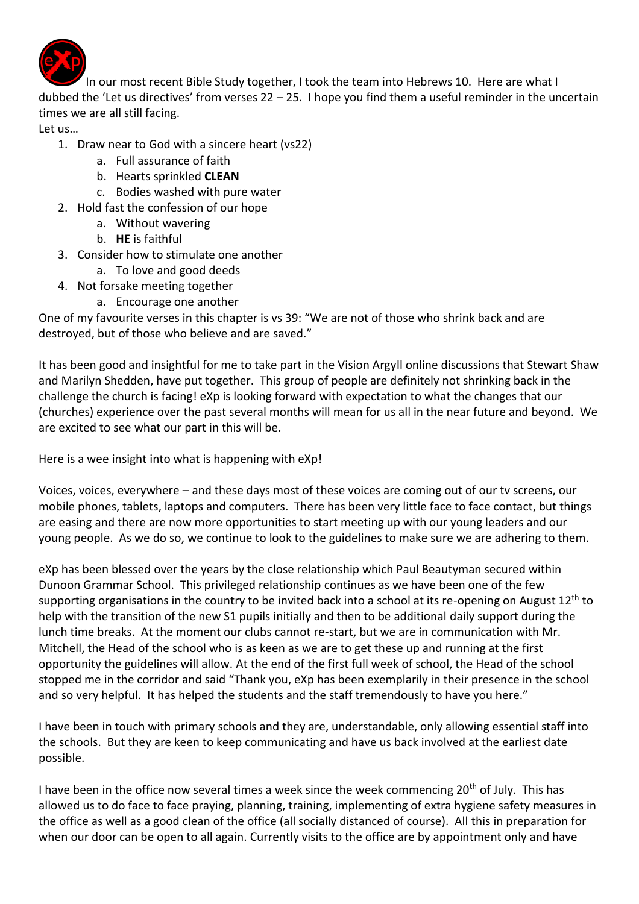

In our most recent Bible Study together, I took the team into Hebrews 10. Here are what I dubbed the 'Let us directives' from verses 22 – 25. I hope you find them a useful reminder in the uncertain times we are all still facing.

Let us…

- 1. Draw near to God with a sincere heart (vs22)
	- a. Full assurance of faith
	- b. Hearts sprinkled **CLEAN**
	- c. Bodies washed with pure water
- 2. Hold fast the confession of our hope
	- a. Without wavering
	- b. **HE** is faithful
- 3. Consider how to stimulate one another
	- a. To love and good deeds
- 4. Not forsake meeting together
	- a. Encourage one another

One of my favourite verses in this chapter is vs 39: "We are not of those who shrink back and are destroyed, but of those who believe and are saved."

It has been good and insightful for me to take part in the Vision Argyll online discussions that Stewart Shaw and Marilyn Shedden, have put together. This group of people are definitely not shrinking back in the challenge the church is facing! eXp is looking forward with expectation to what the changes that our (churches) experience over the past several months will mean for us all in the near future and beyond. We are excited to see what our part in this will be.

Here is a wee insight into what is happening with eXp!

Voices, voices, everywhere – and these days most of these voices are coming out of our tv screens, our mobile phones, tablets, laptops and computers. There has been very little face to face contact, but things are easing and there are now more opportunities to start meeting up with our young leaders and our young people. As we do so, we continue to look to the guidelines to make sure we are adhering to them.

eXp has been blessed over the years by the close relationship which Paul Beautyman secured within Dunoon Grammar School. This privileged relationship continues as we have been one of the few supporting organisations in the country to be invited back into a school at its re-opening on August 12<sup>th</sup> to help with the transition of the new S1 pupils initially and then to be additional daily support during the lunch time breaks. At the moment our clubs cannot re-start, but we are in communication with Mr. Mitchell, the Head of the school who is as keen as we are to get these up and running at the first opportunity the guidelines will allow. At the end of the first full week of school, the Head of the school stopped me in the corridor and said "Thank you, eXp has been exemplarily in their presence in the school and so very helpful. It has helped the students and the staff tremendously to have you here."

I have been in touch with primary schools and they are, understandable, only allowing essential staff into the schools. But they are keen to keep communicating and have us back involved at the earliest date possible.

I have been in the office now several times a week since the week commencing  $20<sup>th</sup>$  of July. This has allowed us to do face to face praying, planning, training, implementing of extra hygiene safety measures in the office as well as a good clean of the office (all socially distanced of course). All this in preparation for when our door can be open to all again. Currently visits to the office are by appointment only and have